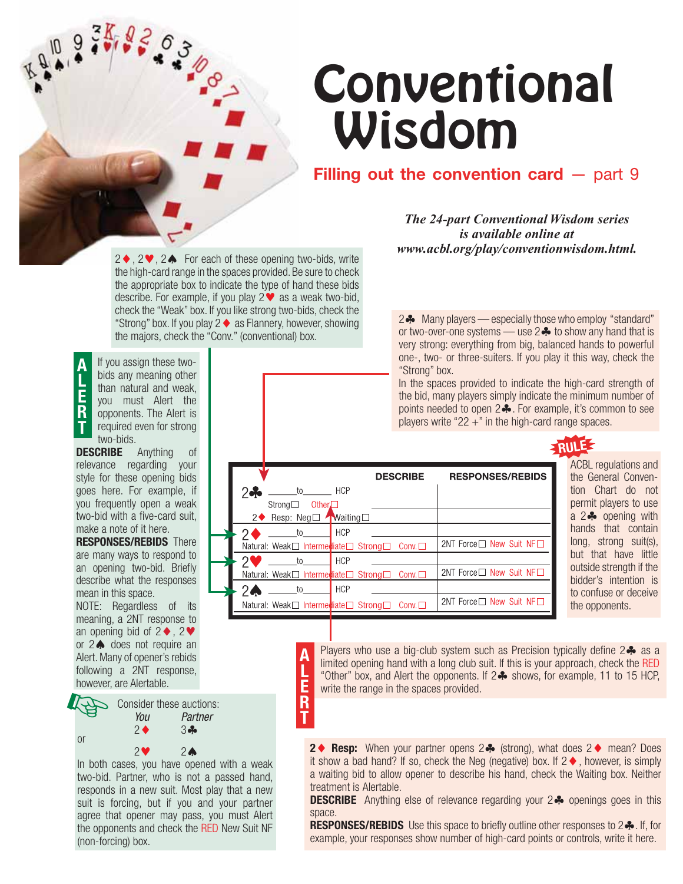**Filling out the convention card – part 9** 

2◆, 2◆, 2◆ For each of these opening two-bids, write the high-card range in the spaces provided. Be sure to check the appropriate box to indicate the type of hand these bids describe. For example, if you play  $2 \blacktriangledown$  as a weak two-bid, check the "Weak" box. If you like strong two-bids, check the "Strong" box. If you play  $2 \blacklozenge$  as Flannery, however, showing the majors, check the "Conv." (conventional) box.

**A L E R T**

or

than natural and weak, you must Alert the opponents. The Alert is required even for strong two-bids. **DESCRIBE** Anything of

If you assign these twobids any meaning other

relevance regarding your style for these opening bids goes here. For example, if you frequently open a weak two-bid with a five-card suit, make a note of it here.

**RESPONSES/REBIDS** There are many ways to respond to an opening two-bid. Briefly describe what the responses mean in this space.

NOTE: Regardless of its meaning, a 2NT response to an opening bid of 2 $\blacklozenge$ , 2 $\blacktriangledown$ or  $2 \triangle$  does not require an Alert. Many of opener's rebids following a 2NT response, however, are Alertable.

**R** Consider these auctions:<br> **R** You Partner  *You Partner* 2- $3 - 6$  $2$   $2$   $4$ 

In both cases, you have opened with a weak two-bid. Partner, who is not a passed hand, responds in a new suit. Most play that a new suit is forcing, but if you and your partner agree that opener may pass, you must Alert the opponents and check the RED New Suit NF (non-forcing) box.

*The 24-part Conventional Wisdom series is available online at www.acbl.org/play/conventionwisdom.html.*

2 Many players — especially those who employ "standard" or two-over-one systems — use  $2\clubsuit$  to show any hand that is very strong: everything from big, balanced hands to powerful one-, two- or three-suiters. If you play it this way, check the "Strong" box.

In the spaces provided to indicate the high-card strength of the bid, many players simply indicate the minimum number of points needed to open  $2\clubsuit$ . For example, it's common to see players write " $22 +$ " in the high-card range spaces.

|                                                               | <b>DESCRIBE</b> | <b>RESPONSES/REBIDS</b> |
|---------------------------------------------------------------|-----------------|-------------------------|
| $\overline{\phantom{a}}$ to $\overline{\phantom{a}}$ HCP<br>2 |                 |                         |
| Strong $\square$<br>Other $\square$                           |                 |                         |
| 2◆ Resp: Neg□ Waiting□                                        |                 |                         |
| to                                                            | <b>HCP</b>      |                         |
| Natural: Weak□ Intermetiate□ Strong□                          | $Conn.\Box$     | 2NT Force□ New Suit NF□ |
| ႒၊<br>$\mathsf{to}$                                           | <b>HCP</b>      |                         |
| Natural: Weak $\Box$ Intermeriate $\Box$ Strong $\Box$        | $Conn.\Box$     | 2NT Force□ New Suit NF□ |
| $2$ $\triangle$<br>to                                         | <b>HCP</b>      |                         |
| Natural: Weak $\Box$ Intermediate $\Box$ Strong $\Box$        | $Conn.\Box$     | 2NT Force□ New Suit NF□ |

**A L E**

**T**

ACBL regulations and the General Convention Chart do not permit players to use **RULE**

a  $2 \clubsuit$  opening with hands that contain long, strong suit(s), but that have little outside strength if the bidder's intention is to confuse or deceive the opponents.

Players who use a big-club system such as Precision typically define  $2\clubsuit$  as a limited opening hand with a long club suit. If this is your approach, check the RED "Other" box, and Alert the opponents. If 2<sup>2</sup> shows, for example, 11 to 15 HCP, write the range in the spaces provided.

**2 ♦ Resp:** When your partner opens 2 < (strong), what does 2 ♦ mean? Does it show a bad hand? If so, check the Neg (negative) box. If  $2 \blacklozenge$ , however, is simply a waiting bid to allow opener to describe his hand, check the Waiting box. Neither treatment is Alertable.

**DESCRIBE** Anything else of relevance regarding your 2<sup>th</sup> openings goes in this space.

**RESPONSES/REBIDS** Use this space to briefly outline other responses to 2.<sup>8</sup>. If, for example, your responses show number of high-card points or controls, write it here.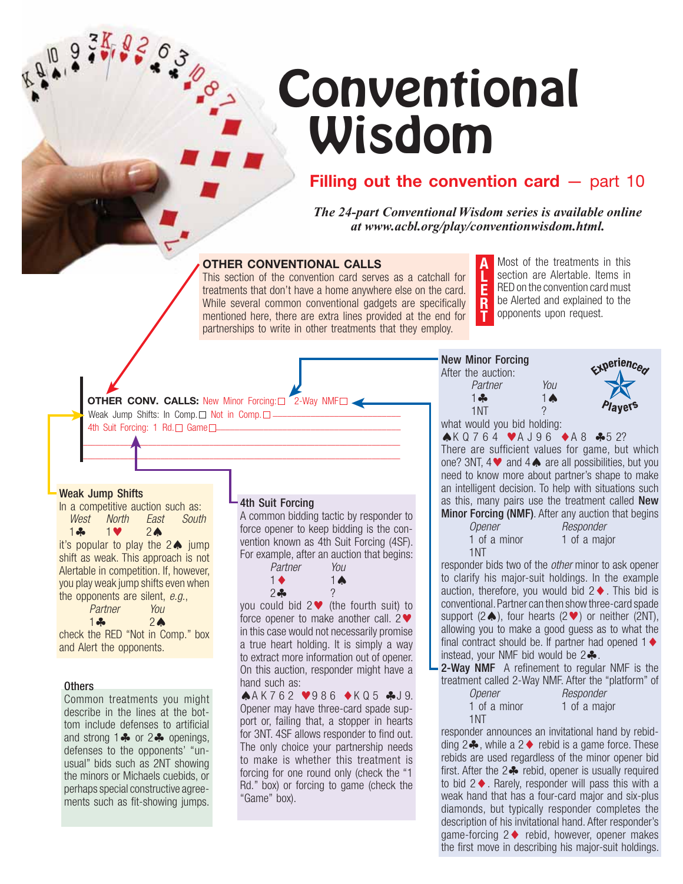### **Filling out the convention card** – part 10

*The 24-part Conventional Wisdom series is available online at www.acbl.org/play/conventionwisdom.html.*

> New Minor Forcing After the auction:

#### **OTHER CONVENTIONAL CALLS**

This section of the convention card serves as a catchall for treatments that don't have a home anywhere else on the card. While several common conventional gadgets are specifically mentioned here, there are extra lines provided at the end for partnerships to write in other treatments that they employ.

**A L E R T** Most of the treatments in this section are Alertable. Items in RED on the convention card must be Alerted and explained to the opponents upon request.

cxperiencem

**OTHER CONV. CALLS:** New Minor Forcing: 2-Way NMF Weak Jump Shifts: In Comp. $\square$  Not in Comp. $\square$   $\_\_$ 4th Suit Forcing: 1 Rd. Game

#### Weak Jump Shifts

➤

In a competitive auction such as: *West North East South*

➤

 $1 - 3$ 1**V** 2A it's popular to play the  $2\spadesuit$  jump shift as weak. This approach is not Alertable in competition. If, however, you play weak jump shifts even when the opponents are silent, *e.g.*, *Partner You*

 $1 -$ 24 check the RED "Not in Comp." box and Alert the opponents.

#### Others

Common treatments you might describe in the lines at the bottom include defenses to artificial and strong  $1\clubsuit$  or  $2\clubsuit$  openings, defenses to the opponents' "unusual" bids such as 2NT showing the minors or Michaels cuebids, or perhaps special constructive agreements such as fit-showing jumps.

#### 4th Suit Forcing

 $\Box$  . The contribution of the contribution of the contribution of the contribution of the contribution of the contribution of the contribution of the contribution of the contribution of the contribution of the contributi \_\_\_\_\_\_\_\_\_\_\_\_\_\_\_\_\_\_\_\_\_\_\_\_\_\_\_\_\_\_\_\_\_\_\_\_\_\_\_\_\_\_\_\_\_\_\_\_\_\_\_\_\_\_\_\_\_\_\_\_\_\_\_\_\_\_\_\_\_\_\_\_\_\_\_\_\_\_

> A common bidding tactic by responder to force opener to keep bidding is the convention known as 4th Suit Forcing (4SF). For example, after an auction that begins:

> > *Partner You*  $1$   $\spadesuit$

?

| Partner |
|---------|
| 1 ♠     |
| $2 -$   |

you could bid  $2 \blacktriangleright$  (the fourth suit) to force opener to make another call.  $2\blacktriangledown$ in this case would not necessarily promise a true heart holding. It is simply a way to extract more information out of opener. On this auction, responder might have a hand such as:

**AAK762 V986 ◆KQ5 ♣J9.** Opener may have three-card spade support or, failing that, a stopper in hearts for 3NT. 4SF allows responder to find out. The only choice your partnership needs to make is whether this treatment is forcing for one round only (check the "1 Rd." box) or forcing to game (check the "Game" box).

 *Partner You*  $1 - 1$ 1 个 1NT what would you bid holding:  $AK Q 7 6 4 \nabla A J 9 6 \nabla A 8 \nabla 5 2?$ There are sufficient values for game, but which one? 3NT,  $4 \blacktriangleright$  and  $4 \blacktriangle$  are all possibilities, but you need to know more about partner's shape to make an intelligent decision. To help with situations such as this, many pairs use the treatment called New Minor Forcing (NMF). After any auction that begins

| $\cdots$     |              |
|--------------|--------------|
| Opener       | Responder    |
| 1 of a minor | 1 of a major |
| 1NT          |              |

responder bids two of the *other* minor to ask opener to clarify his major-suit holdings. In the example auction, therefore, you would bid  $2 \blacklozenge$ . This bid is conventional. Partner can then show three-card spade support  $(2\spadesuit)$ , four hearts  $(2\blacktriangledown)$  or neither (2NT), allowing you to make a good guess as to what the final contract should be. If partner had opened  $1 \blacklozenge$ instead, your NMF bid would be  $2\clubsuit$ .

**2-Way NMF** A refinement to regular NMF is the treatment called 2-Way NMF. After the "platform" of *Opener Responder*<br>1 of a minor **1** of a major 1 of a major

#### 1NT

responder announces an invitational hand by rebidding  $2\clubsuit$ , while a  $2\spadesuit$  rebid is a game force. These rebids are used regardless of the minor opener bid first. After the  $2\clubsuit$  rebid, opener is usually required to bid  $2 \triangleleft$ . Rarely, responder will pass this with a weak hand that has a four-card major and six-plus diamonds, but typically responder completes the description of his invitational hand. After responder's game-forcing  $2 \triangleleft$  rebid, however, opener makes the first move in describing his major-suit holdings.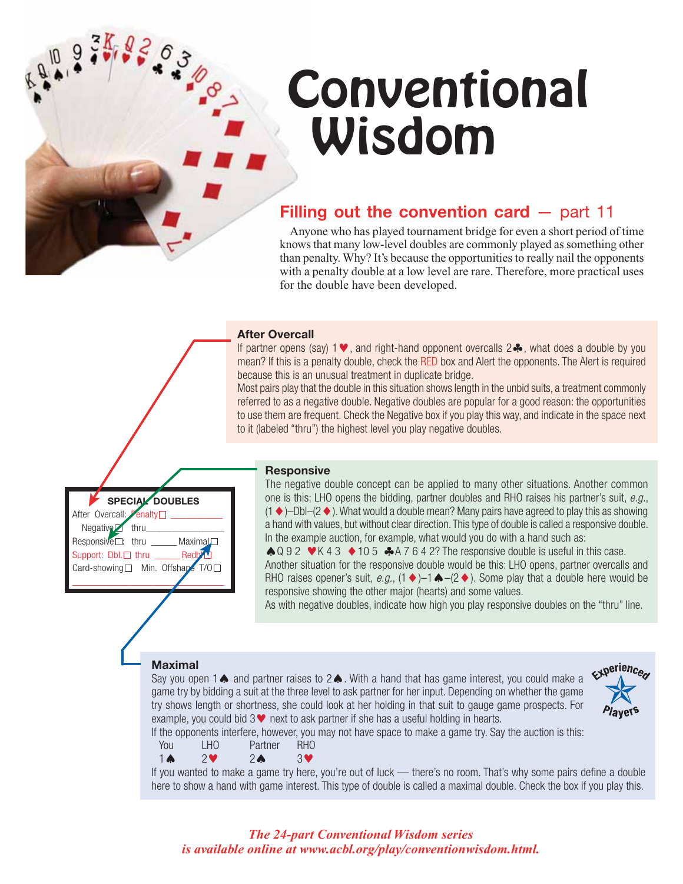### **Filling out the convention card – part 11**

Anyone who has played tournament bridge for even a short period of time knows that many low-level doubles are commonly played as something other than penalty. Why? It's because the opportunities to really nail the opponents with a penalty double at a low level are rare. Therefore, more practical uses for the double have been developed.

#### **After Overcall**

If partner opens (say)  $1\vee$ , and right-hand opponent overcalls  $2\clubsuit$ , what does a double by you mean? If this is a penalty double, check the RED box and Alert the opponents. The Alert is required because this is an unusual treatment in duplicate bridge.

Most pairs play that the double in this situation shows length in the unbid suits, a treatment commonly referred to as a negative double. Negative doubles are popular for a good reason: the opportunities to use them are frequent. Check the Negative box if you play this way, and indicate in the space next to it (labeled "thru") the highest level you play negative doubles.

#### **Responsive**

The negative double concept can be applied to many other situations. Another common one is this: LHO opens the bidding, partner doubles and RHO raises his partner's suit, *e.g.*,  $(1 \blacklozenge)$ –Dbl– $(2 \blacklozenge)$ . What would a double mean? Many pairs have agreed to play this as showing a hand with values, but without clear direction. This type of double is called a responsive double. In the example auction, for example, what would you do with a hand such as:

 $\bigwedge Q$  9 2  $\bigvee K$  4 3  $\bigwedge 10$  5  $\bigtriangleup A$  7 6 4 2? The responsive double is useful in this case. Another situation for the responsive double would be this: LHO opens, partner overcalls and RHO raises opener's suit,  $e.g., (1 \blacklozenge)$ –1 $\blacklozenge$ – $(2 \blacklozenge)$ . Some play that a double here would be responsive showing the other major (hearts) and some values.

As with negative doubles, indicate how high you play responsive doubles on the "thru" line.

#### **Maximal**

Maximal

**SPECIAL DOUBLES**

Negative thru\_\_\_\_\_\_\_\_\_\_\_\_\_\_\_<br>Responsive□: thru \_\_\_\_\_\_Maximal

Card-showing  $\Box$  Min. Offshape T/O $\Box$  $\overline{\phantom{a}}$ 

➤

After Overcall: Penalty Negative thru

Support: Dbl. htru

Say you open  $1 \spadesuit$  and partner raises to  $2 \spadesuit$ . With a hand that has game interest, you could make a game try by bidding a suit at the three level to ask partner for her input. Depending on whether the game try shows length or shortness, she could look at her holding in that suit to gauge game prospects. For example, you could bid  $3\blacktriangledown$  next to ask partner if she has a useful holding in hearts.

Experience

If the opponents interfere, however, you may not have space to make a game try. Say the auction is this: You LHO Partner RHO

 $1 \wedge 2 \vee 2$  $2 \spadesuit \qquad 3 \spadesuit$ 

If you wanted to make a game try here, you're out of luck — there's no room. That's why some pairs define a double here to show a hand with game interest. This type of double is called a maximal double. Check the box if you play this.

### *The 24-part Conventional Wisdom series is available online at www.acbl.org/play/conventionwisdom.html.*